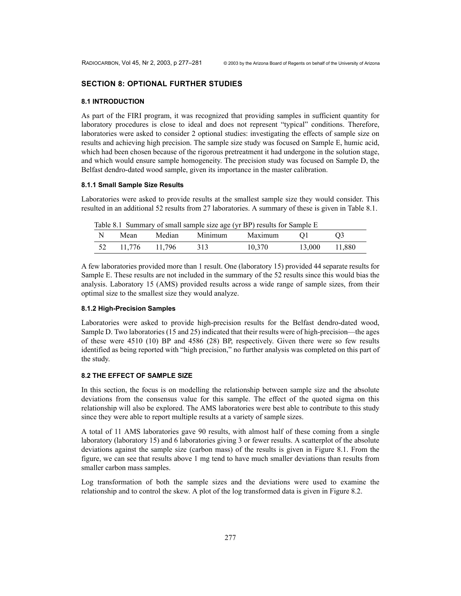# **SECTION 8: OPTIONAL FURTHER STUDIES**

#### **8.1 INTRODUCTION**

As part of the FIRI program, it was recognized that providing samples in sufficient quantity for laboratory procedures is close to ideal and does not represent "typical" conditions. Therefore, laboratories were asked to consider 2 optional studies: investigating the effects of sample size on results and achieving high precision. The sample size study was focused on Sample E, humic acid, which had been chosen because of the rigorous pretreatment it had undergone in the solution stage, and which would ensure sample homogeneity. The precision study was focused on Sample D, the Belfast dendro-dated wood sample, given its importance in the master calibration.

#### **8.1.1 Small Sample Size Results**

Laboratories were asked to provide results at the smallest sample size they would consider. This resulted in an additional 52 results from 27 laboratories. A summary of these is given in Table 8.1.

Table 8.1 Summary of small sample size age (yr BP) results for Sample E

| N  | Mean   | Median | Minimum | Maximum |        |        |
|----|--------|--------|---------|---------|--------|--------|
| 52 | 11.776 | 11.796 | 313     | 10,370  | 13.000 | 11,880 |

A few laboratories provided more than 1 result. One (laboratory 15) provided 44 separate results for Sample E. These results are not included in the summary of the 52 results since this would bias the analysis. Laboratory 15 (AMS) provided results across a wide range of sample sizes, from their optimal size to the smallest size they would analyze.

### **8.1.2 High-Precision Samples**

Laboratories were asked to provide high-precision results for the Belfast dendro-dated wood, Sample D. Two laboratories (15 and 25) indicated that their results were of high-precision—the ages of these were 4510 (10) BP and 4586 (28) BP, respectively. Given there were so few results identified as being reported with "high precision," no further analysis was completed on this part of the study.

## **8.2 THE EFFECT OF SAMPLE SIZE**

In this section, the focus is on modelling the relationship between sample size and the absolute deviations from the consensus value for this sample. The effect of the quoted sigma on this relationship will also be explored. The AMS laboratories were best able to contribute to this study since they were able to report multiple results at a variety of sample sizes.

A total of 11 AMS laboratories gave 90 results, with almost half of these coming from a single laboratory (laboratory 15) and 6 laboratories giving 3 or fewer results. A scatterplot of the absolute deviations against the sample size (carbon mass) of the results is given in Figure 8.1. From the figure, we can see that results above 1 mg tend to have much smaller deviations than results from smaller carbon mass samples.

Log transformation of both the sample sizes and the deviations were used to examine the relationship and to control the skew. A plot of the log transformed data is given in Figure 8.2.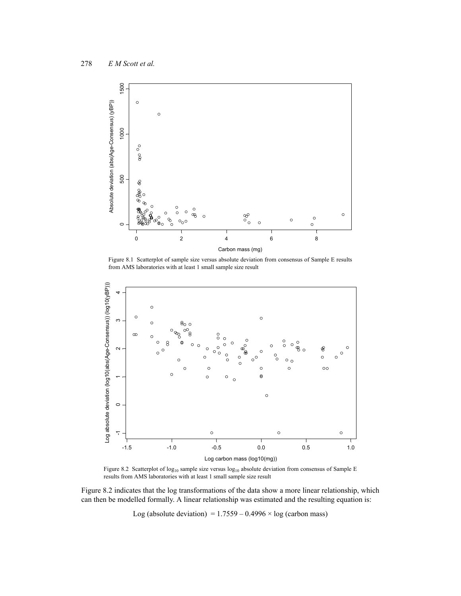

Figure 8.1 Scatterplot of sample size versus absolute deviation from consensus of Sample E results from AMS laboratories with at least 1 small sample size result



Figure 8.2 Scatterplot of log<sub>10</sub> sample size versus log<sub>10</sub> absolute deviation from consensus of Sample E results from AMS laboratories with at least 1 small sample size result

Figure 8.2 indicates that the log transformations of the data show a more linear relationship, which can then be modelled formally. A linear relationship was estimated and the resulting equation is:

Log (absolute deviation) =  $1.7559 - 0.4996 \times \log$  (carbon mass)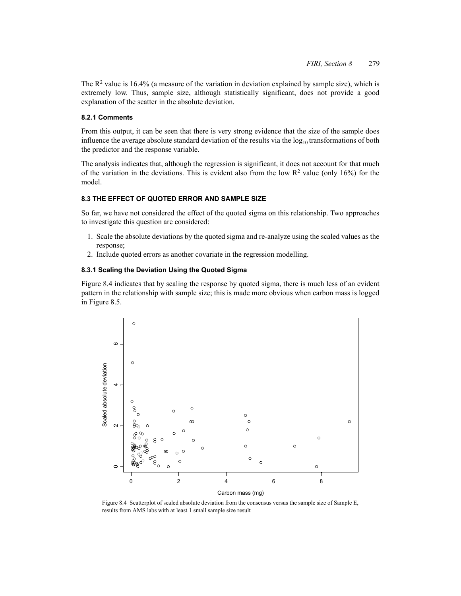The  $R^2$  value is 16.4% (a measure of the variation in deviation explained by sample size), which is extremely low. Thus, sample size, although statistically significant, does not provide a good explanation of the scatter in the absolute deviation.

### **8.2.1 Comments**

From this output, it can be seen that there is very strong evidence that the size of the sample does influence the average absolute standard deviation of the results via the  $log_{10}$  transformations of both the predictor and the response variable.

The analysis indicates that, although the regression is significant, it does not account for that much of the variation in the deviations. This is evident also from the low  $R^2$  value (only 16%) for the model.

# **8.3 THE EFFECT OF QUOTED ERROR AND SAMPLE SIZE**

So far, we have not considered the effect of the quoted sigma on this relationship. Two approaches to investigate this question are considered:

- 1. Scale the absolute deviations by the quoted sigma and re-analyze using the scaled values as the response;
- 2. Include quoted errors as another covariate in the regression modelling.

### **8.3.1 Scaling the Deviation Using the Quoted Sigma**

Figure 8.4 indicates that by scaling the response by quoted sigma, there is much less of an evident pattern in the relationship with sample size; this is made more obvious when carbon mass is logged in Figure 8.5.



Figure 8.4 Scatterplot of scaled absolute deviation from the consensus versus the sample size of Sample E, results from AMS labs with at least 1 small sample size result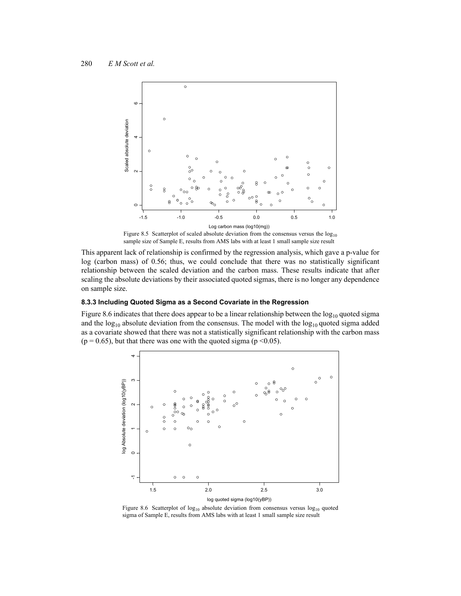

Figure 8.5 Scatterplot of scaled absolute deviation from the consensus versus the  $log_{10}$ sample size of Sample E, results from AMS labs with at least 1 small sample size result

This apparent lack of relationship is confirmed by the regression analysis, which gave a p-value for log (carbon mass) of 0.56; thus, we could conclude that there was no statistically significant relationship between the scaled deviation and the carbon mass. These results indicate that after scaling the absolute deviations by their associated quoted sigmas, there is no longer any dependence on sample size.

## **8.3.3 Including Quoted Sigma as a Second Covariate in the Regression**

Figure 8.6 indicates that there does appear to be a linear relationship between the  $log_{10}$  quoted sigma and the  $log_{10}$  absolute deviation from the consensus. The model with the  $log_{10}$  quoted sigma added as a covariate showed that there was not a statistically significant relationship with the carbon mass  $(p = 0.65)$ , but that there was one with the quoted sigma ( $p \le 0.05$ ).



Figure 8.6 Scatterplot of  $log_{10}$  absolute deviation from consensus versus  $log_{10}$  quoted sigma of Sample E, results from AMS labs with at least 1 small sample size result